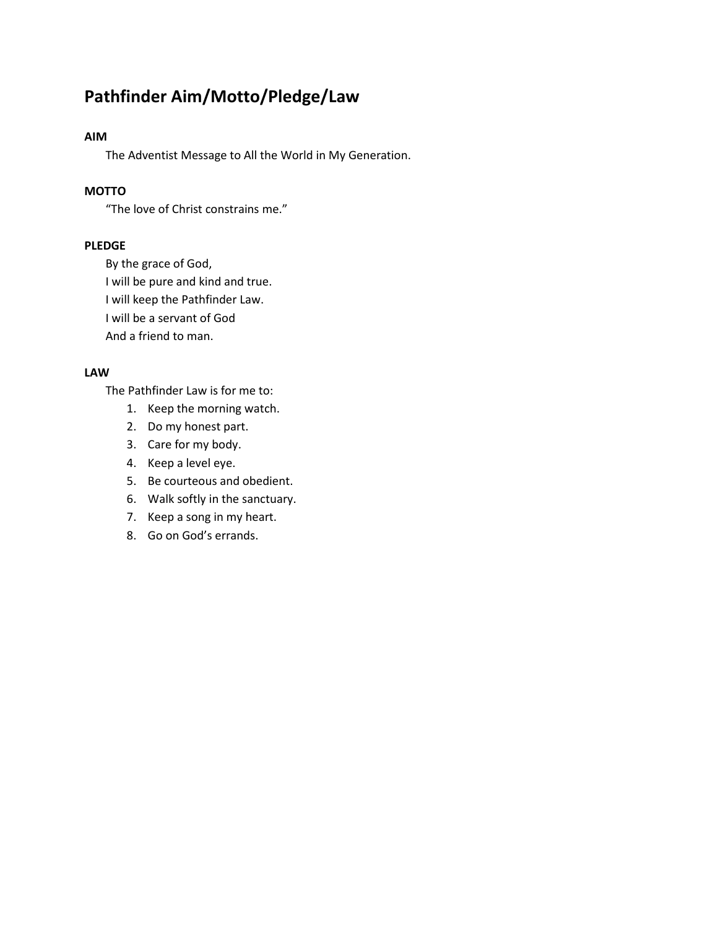# **Pathfinder Aim/Motto/Pledge/Law**

#### **AIM**

The Adventist Message to All the World in My Generation.

# **MOTTO**

"The love of Christ constrains me."

#### **PLEDGE**

By the grace of God, I will be pure and kind and true. I will keep the Pathfinder Law. I will be a servant of God And a friend to man.

#### **LAW**

The Pathfinder Law is for me to:

- 1. Keep the morning watch.
- 2. Do my honest part.
- 3. Care for my body.
- 4. Keep a level eye.
- 5. Be courteous and obedient.
- 6. Walk softly in the sanctuary.
- 7. Keep a song in my heart.
- 8. Go on God's errands.